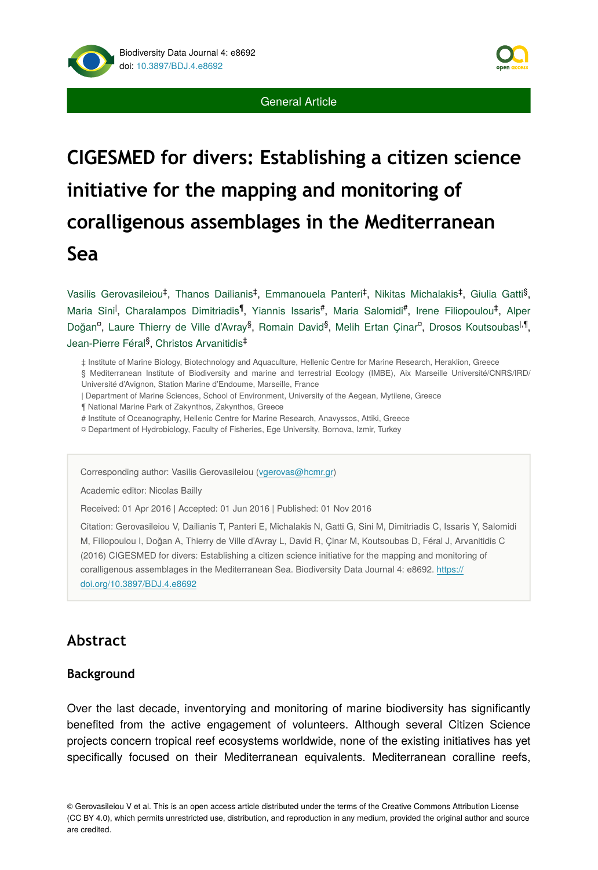



# **CIGESMED for divers: Establishing a citizen science initiative for the mapping and monitoring of coralligenous assemblages in the Mediterranean Sea**

 $V$ asilis Gerovasileiou<sup>‡</sup>, Thanos Dailianis<sup>‡</sup>, Emmanouela Panteri<sup>‡</sup>, Nikitas Michalakis<sup>‡</sup>, Giulia Gatti<sup>§</sup>, Maria Sini<sup>l</sup>, Charalampos Dimitriadis<sup>¶</sup>, Yiannis Issaris<sup>#</sup>, Maria Salomidi<sup>#</sup>, Irene Filiopoulou<sup>‡</sup>, Alper Doğan<sup>a</sup>, Laure Thierry de Ville d'Avray<sup>§</sup>, Romain David<sup>§</sup>, Melih Ertan Çinar<sup>a</sup>, Drosos Koutsoubas<sup>|,¶</sup>, Jean-Pierre Féral<sup>§</sup>, Christos Arvanitidis<sup>‡</sup>

‡ Institute of Marine Biology, Biotechnology and Aquaculture, Hellenic Centre for Marine Research, Heraklion, Greece

§ Mediterranean Institute of Biodiversity and marine and terrestrial Ecology (IMBE), Aix Marseille Université/CNRS/IRD/ Université d'Avignon, Station Marine d'Endoume, Marseille, France

- | Department of Marine Sciences, School of Environment, University of the Aegean, Mytilene, Greece
- ¶ National Marine Park of Zakynthos, Zakynthos, Greece
- # Institute of Oceanography, Hellenic Centre for Marine Research, Anavyssos, Attiki, Greece
- ¤ Department of Hydrobiology, Faculty of Fisheries, Ege University, Bornova, Izmir, Turkey

Corresponding author: Vasilis Gerovasileiou ([vgerovas@hcmr.gr](mailto:vgerovas@hcmr.gr?subject=Your%20manuscript%20in%20PWT%20#5319/Biodiversity%20Data%20Journal%20#8692))

Academic editor: Nicolas Bailly

Received: 01 Apr 2016 | Accepted: 01 Jun 2016 | Published: 01 Nov 2016

Citation: Gerovasileiou V, Dailianis T, Panteri E, Michalakis N, Gatti G, Sini M, Dimitriadis C, Issaris Y, Salomidi M, Filiopoulou I, Doğan A, Thierry de Ville d'Avray L, David R, Ҫinar M, Koutsoubas D, Féral J, Arvanitidis C (2016) CIGESMED for divers: Establishing a citizen science initiative for the mapping and monitoring of coralligenous assemblages in the Mediterranean Sea. Biodiversity Data Journal 4: e8692. [https://](https://doi.org/10.3897/BDJ.4.e8692) [doi.org/10.3897/BDJ.4.e8692](https://doi.org/10.3897/BDJ.4.e8692)

# **Abstract**

## **Background**

Over the last decade, inventorying and monitoring of marine biodiversity has significantly benefited from the active engagement of volunteers. Although several Citizen Science projects concern tropical reef ecosystems worldwide, none of the existing initiatives has yet specifically focused on their Mediterranean equivalents. Mediterranean coralline reefs,

© Gerovasileiou V et al. This is an open access article distributed under the terms of the Creative Commons Attribution License (CC BY 4.0), which permits unrestricted use, distribution, and reproduction in any medium, provided the original author and source are credited.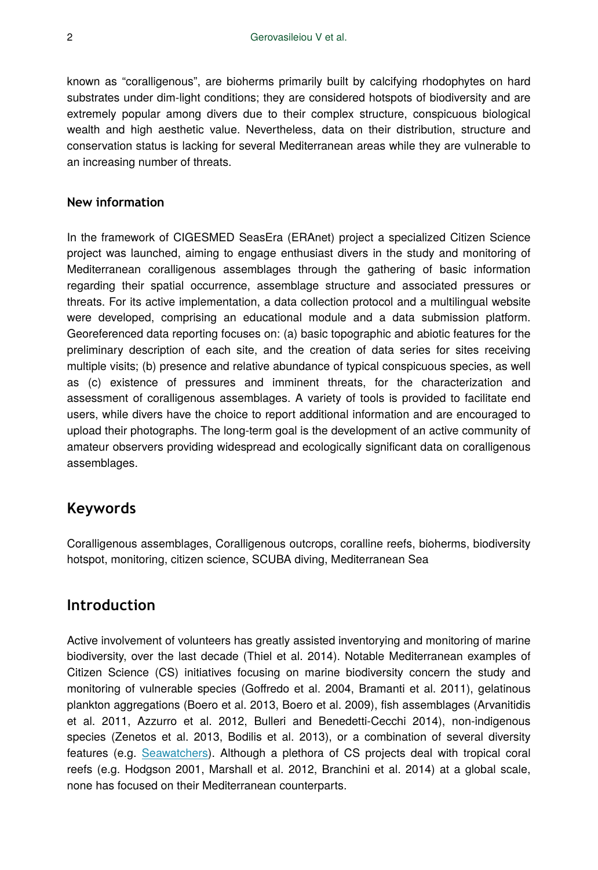known as "coralligenous", are bioherms primarily built by calcifying rhodophytes on hard substrates under dim-light conditions; they are considered hotspots of biodiversity and are extremely popular among divers due to their complex structure, conspicuous biological wealth and high aesthetic value. Nevertheless, data on their distribution, structure and conservation status is lacking for several Mediterranean areas while they are vulnerable to an increasing number of threats.

## **New information**

In the framework of CIGESMED SeasEra (ERAnet) project a specialized Citizen Science project was launched, aiming to engage enthusiast divers in the study and monitoring of Mediterranean coralligenous assemblages through the gathering of basic information regarding their spatial occurrence, assemblage structure and associated pressures or threats. For its active implementation, a data collection protocol and a multilingual website were developed, comprising an educational module and a data submission platform. Georeferenced data reporting focuses on: (a) basic topographic and abiotic features for the preliminary description of each site, and the creation of data series for sites receiving multiple visits; (b) presence and relative abundance of typical conspicuous species, as well as (c) existence of pressures and imminent threats, for the characterization and assessment of coralligenous assemblages. A variety of tools is provided to facilitate end users, while divers have the choice to report additional information and are encouraged to upload their photographs. The long-term goal is the development of an active community of amateur observers providing widespread and ecologically significant data on coralligenous assemblages.

# **Keywords**

Coralligenous assemblages, Coralligenous outcrops, coralline reefs, bioherms, biodiversity hotspot, monitoring, citizen science, SCUBA diving, Mediterranean Sea

# **Introduction**

Active involvement of volunteers has greatly assisted inventorying and monitoring of marine biodiversity, over the last decade (Thiel et al. 2014). Notable Mediterranean examples of Citizen Science (CS) initiatives focusing on marine biodiversity concern the study and monitoring of vulnerable species (Goffredo et al. 2004, Bramanti et al. 2011), gelatinous plankton aggregations (Boero et al. 2013, Boero et al. 2009), fish assemblages (Arvanitidis et al. 2011, Azzurro et al. 2012, Bulleri and Benedetti-Cecchi 2014), non-indigenous species (Zenetos et al. 2013, Bodilis et al. 2013), or a combination of several diversity features (e.g. [Seawatchers\)](http://www.observadorsdelmar.cat/). Although a plethora of CS projects deal with tropical coral reefs (e.g. Hodgson 2001, Marshall et al. 2012, Branchini et al. 2014) at a global scale, none has focused on their Mediterranean counterparts.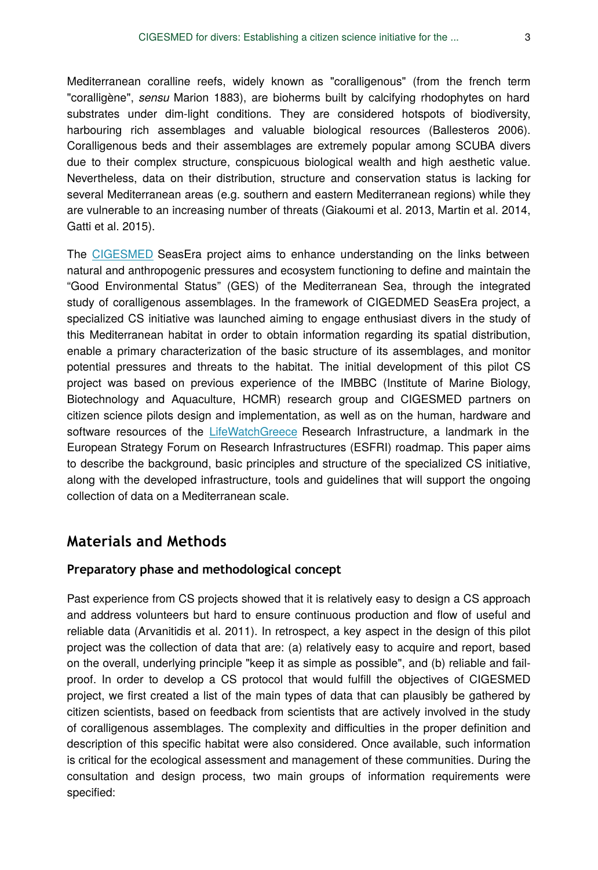Mediterranean coralline reefs, widely known as "coralligenous" (from the french term "coralligène", *sensu* Marion 1883), are bioherms built by calcifying rhodophytes on hard substrates under dim-light conditions. They are considered hotspots of biodiversity, harbouring rich assemblages and valuable biological resources (Ballesteros 2006). Coralligenous beds and their assemblages are extremely popular among SCUBA divers due to their complex structure, conspicuous biological wealth and high aesthetic value. Nevertheless, data on their distribution, structure and conservation status is lacking for several Mediterranean areas (e.g. southern and eastern Mediterranean regions) while they are vulnerable to an increasing number of threats (Giakoumi et al. 2013, Martin et al. 2014, Gatti et al. 2015).

The [CIGESMED](http://www.cigesmed.eu/) SeasEra project aims to enhance understanding on the links between natural and anthropogenic pressures and ecosystem functioning to define and maintain the "Good Environmental Status" (GES) of the Mediterranean Sea, through the integrated study of coralligenous assemblages. In the framework of CIGEDMED SeasEra project, a specialized CS initiative was launched aiming to engage enthusiast divers in the study of this Mediterranean habitat in order to obtain information regarding its spatial distribution, enable a primary characterization of the basic structure of its assemblages, and monitor potential pressures and threats to the habitat. The initial development of this pilot CS project was based on previous experience of the IMBBC (Institute of Marine Biology, Biotechnology and Aquaculture, HCMR) research group and CIGESMED partners on citizen science pilots design and implementation, as well as on the human, hardware and software resources of the [LifeWatchGreece](http://www.lifewatchgreece.eu/) Research Infrastructure, a landmark in the European Strategy Forum on Research Infrastructures (ESFRI) roadmap. This paper aims to describe the background, basic principles and structure of the specialized CS initiative, along with the developed infrastructure, tools and guidelines that will support the ongoing collection of data on a Mediterranean scale.

# **Materials and Methods**

## **Preparatory phase and methodological concept**

Past experience from CS projects showed that it is relatively easy to design a CS approach and address volunteers but hard to ensure continuous production and flow of useful and reliable data (Arvanitidis et al. 2011). In retrospect, a key aspect in the design of this pilot project was the collection of data that are: (a) relatively easy to acquire and report, based on the overall, underlying principle "keep it as simple as possible", and (b) reliable and failproof. In order to develop a CS protocol that would fulfill the objectives of CIGESMED project, we first created a list of the main types of data that can plausibly be gathered by citizen scientists, based on feedback from scientists that are actively involved in the study of coralligenous assemblages. The complexity and difficulties in the proper definition and description of this specific habitat were also considered. Once available, such information is critical for the ecological assessment and management of these communities. During the consultation and design process, two main groups of information requirements were specified: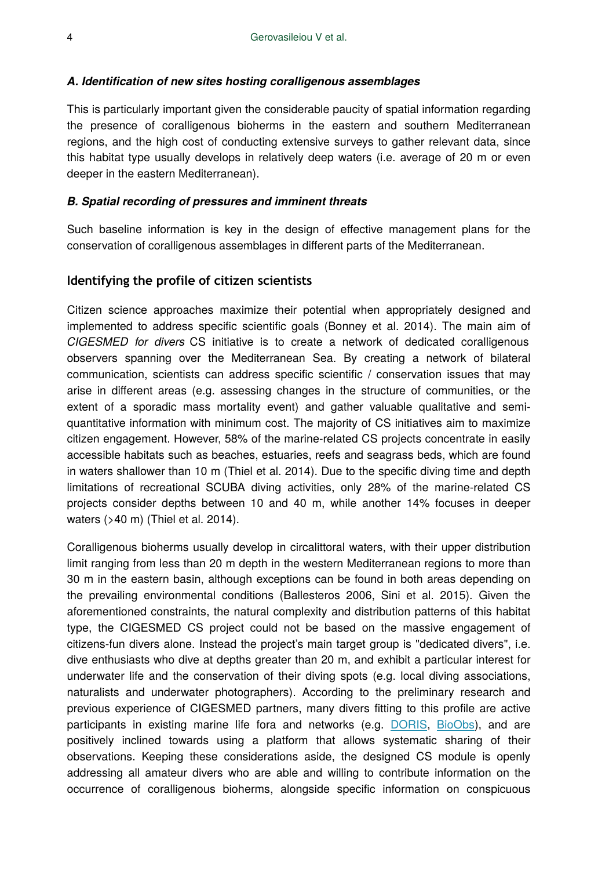#### *A. Identification of new sites hosting coralligenous assemblages*

This is particularly important given the considerable paucity of spatial information regarding the presence of coralligenous bioherms in the eastern and southern Mediterranean regions, and the high cost of conducting extensive surveys to gather relevant data, since this habitat type usually develops in relatively deep waters (i.e. average of 20 m or even deeper in the eastern Mediterranean).

#### *B. Spatial recording of pressures and imminent threats*

Such baseline information is key in the design of effective management plans for the conservation of coralligenous assemblages in different parts of the Mediterranean.

#### **Identifying the profile of citizen scientists**

Citizen science approaches maximize their potential when appropriately designed and implemented to address specific scientific goals (Bonney et al. 2014). The main aim of *CIGESMED for divers* CS initiative is to create a network of dedicated coralligenous observers spanning over the Mediterranean Sea. By creating a network of bilateral communication, scientists can address specific scientific / conservation issues that may arise in different areas (e.g. assessing changes in the structure of communities, or the extent of a sporadic mass mortality event) and gather valuable qualitative and semiquantitative information with minimum cost. The majority of CS initiatives aim to maximize citizen engagement. However, 58% of the marine-related CS projects concentrate in easily accessible habitats such as beaches, estuaries, reefs and seagrass beds, which are found in waters shallower than 10 m (Thiel et al. 2014). Due to the specific diving time and depth limitations of recreational SCUBA diving activities, only 28% of the marine-related CS projects consider depths between 10 and 40 m, while another 14% focuses in deeper waters (>40 m) (Thiel et al. 2014).

Coralligenous bioherms usually develop in circalittoral waters, with their upper distribution limit ranging from less than 20 m depth in the western Mediterranean regions to more than 30 m in the eastern basin, although exceptions can be found in both areas depending on the prevailing environmental conditions (Ballesteros 2006, Sini et al. 2015). Given the aforementioned constraints, the natural complexity and distribution patterns of this habitat type, the CIGESMED CS project could not be based on the massive engagement of citizens-fun divers alone. Instead the project's main target group is "dedicated divers", i.e. dive enthusiasts who dive at depths greater than 20 m, and exhibit a particular interest for underwater life and the conservation of their diving spots (e.g. local diving associations, naturalists and underwater photographers). According to the preliminary research and previous experience of CIGESMED partners, many divers fitting to this profile are active participants in existing marine life fora and networks (e.g. [DORIS](http://doris.ffessm.fr/), [BioObs](http://bioobs.fr/)), and are positively inclined towards using a platform that allows systematic sharing of their observations. Keeping these considerations aside, the designed CS module is openly addressing all amateur divers who are able and willing to contribute information on the occurrence of coralligenous bioherms, alongside specific information on conspicuous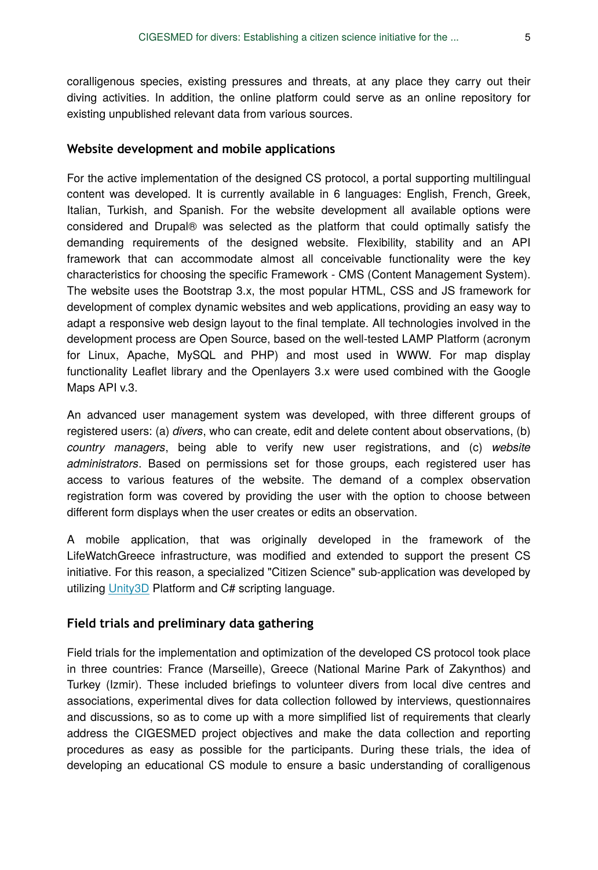coralligenous species, existing pressures and threats, at any place they carry out their diving activities. In addition, the online platform could serve as an online repository for existing unpublished relevant data from various sources.

#### **Website development and mobile applications**

For the active implementation of the designed CS protocol, a portal supporting multilingual content was developed. It is currently available in 6 languages: English, French, Greek, Italian, Turkish, and Spanish. For the website development all available options were considered and Drupal® was selected as the platform that could optimally satisfy the demanding requirements of the designed website. Flexibility, stability and an API framework that can accommodate almost all conceivable functionality were the key characteristics for choosing the specific Framework - CMS (Content Management System). The website uses the Bootstrap 3.x, the most popular HTML, CSS and JS framework for development of complex dynamic websites and web applications, providing an easy way to adapt a responsive web design layout to the final template. All technologies involved in the development process are Open Source, based on the well-tested LAMP Platform (acronym for Linux, Apache, MySQL and PHP) and most used in WWW. For map display functionality Leaflet library and the Openlayers 3.x were used combined with the Google Maps API v.3.

An advanced user management system was developed, with three different groups of registered users: (a) *divers*, who can create, edit and delete content about observations, (b) *country managers*, being able to verify new user registrations, and (c) *website administrators*. Based on permissions set for those groups, each registered user has access to various features of the website. The demand of a complex observation registration form was covered by providing the user with the option to choose between different form displays when the user creates or edits an observation.

A mobile application, that was originally developed in the framework of the LifeWatchGreece infrastructure, was modified and extended to support the present CS initiative. For this reason, a specialized "Citizen Science" sub-application was developed by utilizing [Unity3D](http://unity3d.com/) Platform and C# scripting language.

#### **Field trials and preliminary data gathering**

Field trials for the implementation and optimization of the developed CS protocol took place in three countries: France (Marseille), Greece (National Marine Park of Zakynthos) and Turkey (Izmir). These included briefings to volunteer divers from local dive centres and associations, experimental dives for data collection followed by interviews, questionnaires and discussions, so as to come up with a more simplified list of requirements that clearly address the CIGESMED project objectives and make the data collection and reporting procedures as easy as possible for the participants. During these trials, the idea of developing an educational CS module to ensure a basic understanding of coralligenous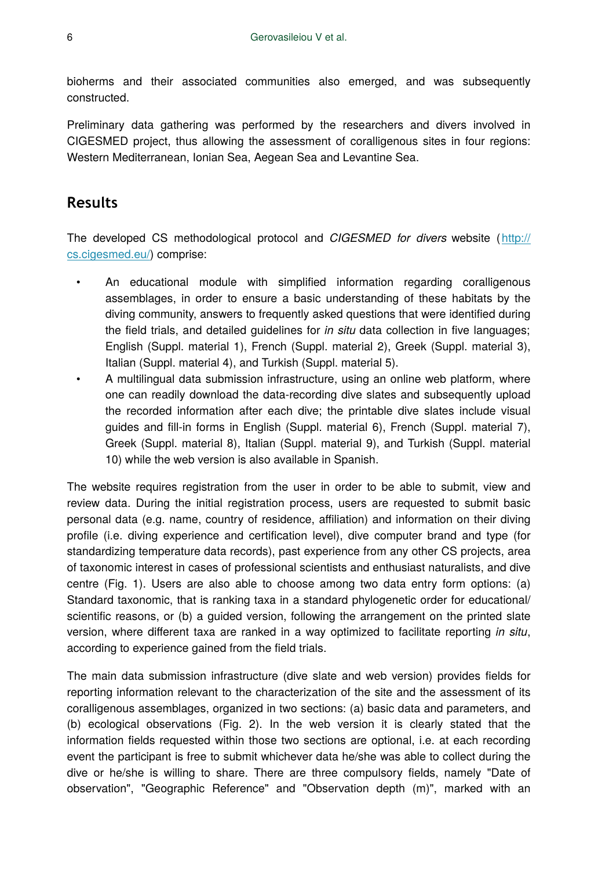bioherms and their associated communities also emerged, and was subsequently constructed.

Preliminary data gathering was performed by the researchers and divers involved in CIGESMED project, thus allowing the assessment of coralligenous sites in four regions: Western Mediterranean, Ionian Sea, Aegean Sea and Levantine Sea.

# **Results**

The developed CS methodological protocol and *CIGESMED for divers* website ([http://](http://cs.cigesmed.eu/) [cs.cigesmed.eu/](http://cs.cigesmed.eu/)) comprise:

- An educational module with simplified information regarding coralligenous assemblages, in order to ensure a basic understanding of these habitats by the diving community, answers to frequently asked questions that were identified during the field trials, and detailed guidelines for *in situ* data collection in five languages; English (Suppl. material 1), French (Suppl. material 2), Greek (Suppl. material 3), Italian (Suppl. material 4), and Turkish (Suppl. material 5).
- A multilingual data submission infrastructure, using an online web platform, where one can readily download the data-recording dive slates and subsequently upload the recorded information after each dive; the printable dive slates include visual guides and fill-in forms in English (Suppl. material 6), French (Suppl. material 7), Greek (Suppl. material 8), Italian (Suppl. material 9), and Turkish (Suppl. material 10) while the web version is also available in Spanish.

The website requires registration from the user in order to be able to submit, view and review data. During the initial registration process, users are requested to submit basic personal data (e.g. name, country of residence, affiliation) and information on their diving profile (i.e. diving experience and certification level), dive computer brand and type (for standardizing temperature data records), past experience from any other CS projects, area of taxonomic interest in cases of professional scientists and enthusiast naturalists, and dive centre (Fig. 1). Users are also able to choose among two data entry form options: (a) Standard taxonomic, that is ranking taxa in a standard phylogenetic order for educational/ scientific reasons, or (b) a guided version, following the arrangement on the printed slate version, where different taxa are ranked in a way optimized to facilitate reporting *in situ*, according to experience gained from the field trials.

The main data submission infrastructure (dive slate and web version) provides fields for reporting information relevant to the characterization of the site and the assessment of its coralligenous assemblages, organized in two sections: (a) basic data and parameters, and (b) ecological observations (Fig. 2). In the web version it is clearly stated that the information fields requested within those two sections are optional, i.e. at each recording event the participant is free to submit whichever data he/she was able to collect during the dive or he/she is willing to share. There are three compulsory fields, namely "Date of observation", "Geographic Reference" and "Observation depth (m)", marked with an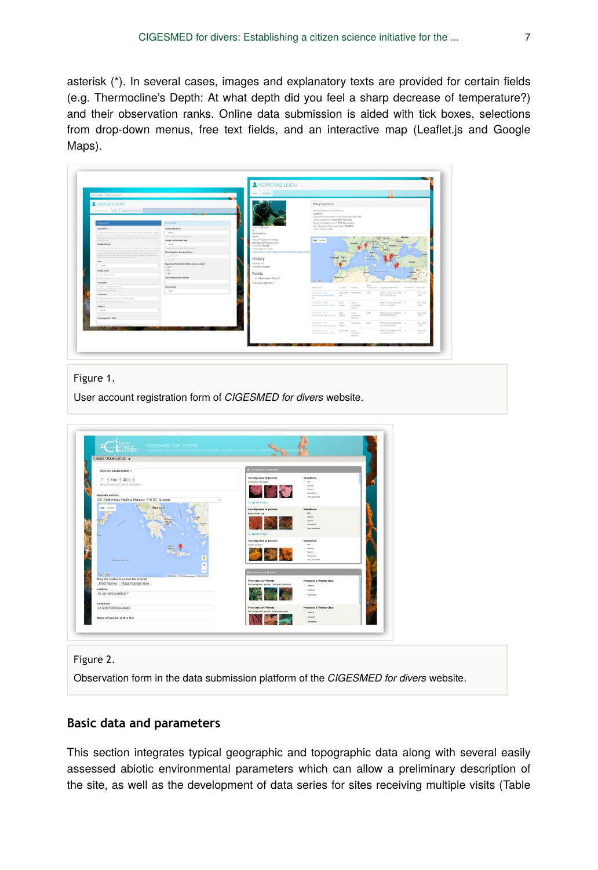asterisk (\*). In several cases, images and explanatory texts are provided for certain fields (e.g. Thermocline's Depth: At what depth did you feel a sharp decrease of temperature?) and their observation ranks. Online data submission is aided with tick boxes, selections from drop-down menus, free text fields, and an interactive map (Leaflet.js and Google Maps).

|                                                                                                                                                                                                                                                                                                                                                                                                                                                                                                            |                                                                                                                                                                                                    | View   Circles                                                                                                                                                            |                                                                                                                                                                                                                                                                                               |                                                   |                                                                                                                                                             |                                                      |                        |                                        |
|------------------------------------------------------------------------------------------------------------------------------------------------------------------------------------------------------------------------------------------------------------------------------------------------------------------------------------------------------------------------------------------------------------------------------------------------------------------------------------------------------------|----------------------------------------------------------------------------------------------------------------------------------------------------------------------------------------------------|---------------------------------------------------------------------------------------------------------------------------------------------------------------------------|-----------------------------------------------------------------------------------------------------------------------------------------------------------------------------------------------------------------------------------------------------------------------------------------------|---------------------------------------------------|-------------------------------------------------------------------------------------------------------------------------------------------------------------|------------------------------------------------------|------------------------|----------------------------------------|
| The street Contensation of the content of the content of the content of the content of the content of the content<br>USER ACCOUNT<br>Concretions Light bepotensyment<br><b>Monarchiller</b><br>Unername <sup>x</sup><br>Spaintiger eliment positionism is not absent own of his period. Aprily<br>beauty and all most of<br><b>PERMITTE</b><br>Kened address ?<br>A solid a rised address, All is really from the system will be sent to risk ads                                                          | Diese Prodig<br><b>Dhong Experience</b><br>. Since<br>Brand all company and the standard and<br><b>Uning Certification Level</b><br>. None<br>Face choice and Beng berthouse were                  | buring Greece<br>Our.<br>Gerovasteiou<br>Vacin.<br>Area of Savonomic Interest:<br>Saonges, anthecesers, Roh-<br>Institution: HOME<br>Homepage (ur) - Irw)                 | Diving Experience<br>Other Expierence from Projects:<br><b>COMBER</b><br>Experience from other citizen-science project Ves<br>Diring Experience: more than 100 dives.<br>Duing Certification Level PADI Diversaster<br>Die Computer Brand and Tuter SULINTO<br>Duer Centre HCM3<br>May Sundry |                                                   |                                                                                                                                                             |                                                      |                        |                                        |
| mand a met actions. Man main Alute the lanesment for under terms of the amount<br>address to the Augustade professional party from that of months they can be the<br>and in many terms must be included in a chal-<br>Title  <br>Lister.<br>Foreign and on<br>Your furnity carried<br><b>Car Scriptorium</b><br><b>Eing name</b><br>Please scient your Braintyme,<br>Pleasanter and following<br><b>booklyding</b><br>Please with your convert business kare.<br>The put mode gaps support furthermore and | Dire Computer Brand and Type<br>ag hands<br><b>ALLING</b><br>Experience from uniter children adverse present<br>0.88<br>0.76<br>o ver<br>Area of Taconcenic Interest<br><b>Road Gentre</b><br>Aug. | requirement researchgate net/profile/deals, Germanilets.<br>History<br>Meridian for<br>5 rooming 3 weeks<br>Points<br>. Observation Foints 7<br>Total kell categories): 7 | Portugal<br>Montee<br>Daligle<br>Olympical C<br>Location."<br>19.04.00% - 19.81<br><b>The reaching between</b><br>$\sim$<br>MAT.<br>19.01.2016 - 741.91<br>Porte                                                                                                                              | Children<br>Delutureciti - surtor exter-<br>sons. | Improvement & Associated Sections & Territorial Association and<br><b>Side of Assessing</b><br>Sensorer Geographic Selectrice<br>10°C<br>26.01 AV18 PARENTS | POINT LE BEPERETIVERE  E<br>nown covariazioni per  i | Crimmation - Then does | <b>MACZINE</b><br>$-18.01$<br>YUD 2014 |
| Country<br>- None -                                                                                                                                                                                                                                                                                                                                                                                                                                                                                        |                                                                                                                                                                                                    |                                                                                                                                                                           | Kennedma Peris Valley Valley                                                                                                                                                                                                                                                                  | <b><i>Instantially</i></b><br>particles           | 25, 952 1216, 726, 6725                                                                                                                                     |                                                      |                        | 18.23                                  |
| Please when they showed<br>Herneyage (srl . 0xld)                                                                                                                                                                                                                                                                                                                                                                                                                                                          |                                                                                                                                                                                                    |                                                                                                                                                                           | TECH JEFA - 1977 -<br>April<br>Kerosahnu Anu Kerius - Vasha                                                                                                                                                                                                                                   | <b>STATE</b><br><b>Automatic</b><br>particles     | 1145<br>ALBUMY ISLAMING                                                                                                                                     | Wash couldn't community of                           |                        | YEAR 2014<br>$+0.17$                   |
|                                                                                                                                                                                                                                                                                                                                                                                                                                                                                                            |                                                                                                                                                                                                    |                                                                                                                                                                           | 15.01.2016 - 17.07<br>Lens<br>Warrentworkshop studies - studies                                                                                                                                                                                                                               | cher autor :<br>$-20\%$                           | 37.6472823367502                                                                                                                                            | PORT OCASSIZIONARY 5                                 |                        | YLES 2014<br>1707                      |

#### Figure 1.

User account registration form of *CIGESMED for divers* website.



#### Figure 2.

Observation form in the data submission platform of the *CIGESMED for divers* website.

## **Basic data and parameters**

This section integrates typical geographic and topographic data along with several easily assessed abiotic environmental parameters which can allow a preliminary description of the site, as well as the development of data series for sites receiving multiple visits (Table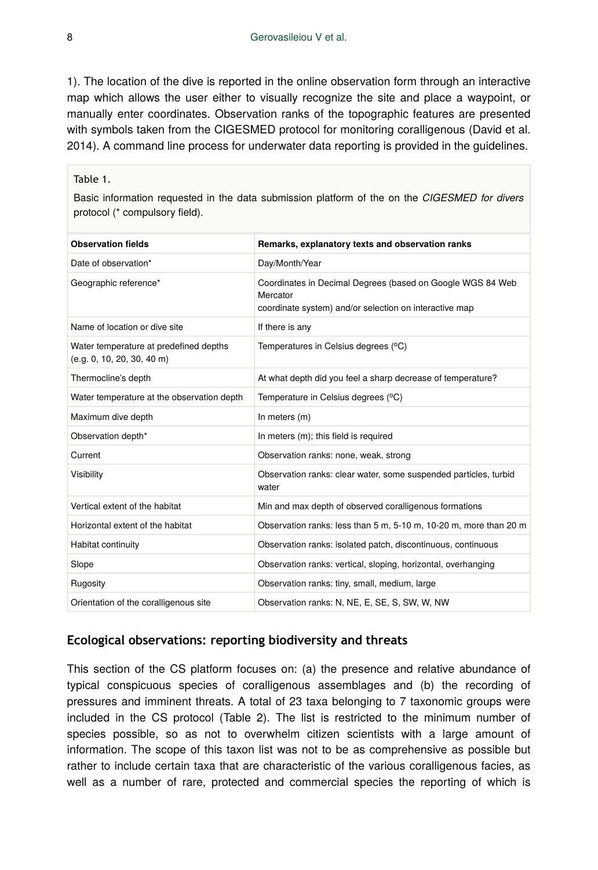1). The location of the dive is reported in the online observation form through an interactive map which allows the user either to visually recognize the site and place a waypoint, or manually enter coordinates. Observation ranks of the topographic features are presented with symbols taken from the CIGESMED protocol for monitoring coralligenous (David et al. 2014). A command line process for underwater data reporting is provided in the guidelines.

#### Table 1.

Basic information requested in the data submission platform of the on the *CIGESMED for divers* protocol (\* compulsory field).

| Remarks, explanatory texts and observation ranks                                                                     |
|----------------------------------------------------------------------------------------------------------------------|
|                                                                                                                      |
| Coordinates in Decimal Degrees (based on Google WGS 84 Web<br>coordinate system) and/or selection on interactive map |
|                                                                                                                      |
| Temperatures in Celsius degrees (°C)                                                                                 |
| At what depth did you feel a sharp decrease of temperature?                                                          |
| Temperature in Celsius degrees (°C)                                                                                  |
|                                                                                                                      |
|                                                                                                                      |
| Observation ranks: none, weak, strong                                                                                |
| Observation ranks: clear water, some suspended particles, turbid                                                     |
| Min and max depth of observed coralligenous formations                                                               |
| Observation ranks: less than 5 m, 5-10 m, 10-20 m, more than 20 m                                                    |
| Observation ranks: isolated patch, discontinuous, continuous                                                         |
| Observation ranks: vertical, sloping, horizontal, overhanging                                                        |
| Observation ranks: tiny, small, medium, large                                                                        |
| Observation ranks: N, NE, E, SE, S, SW, W, NW                                                                        |
|                                                                                                                      |

#### **Ecological observations: reporting biodiversity and threats**

This section of the CS platform focuses on: (a) the presence and relative abundance of typical conspicuous species of coralligenous assemblages and (b) the recording of pressures and imminent threats. A total of 23 taxa belonging to 7 taxonomic groups were included in the CS protocol (Table 2). The list is restricted to the minimum number of species possible, so as not to overwhelm citizen scientists with a large amount of information. The scope of this taxon list was not to be as comprehensive as possible but rather to include certain taxa that are characteristic of the various coralligenous facies, as well as a number of rare, protected and commercial species the reporting of which is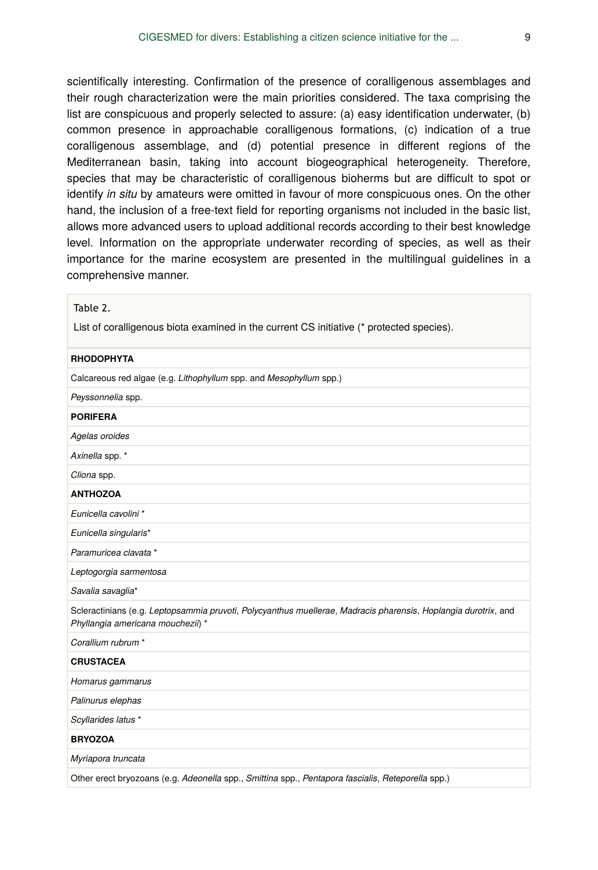scientifically interesting. Confirmation of the presence of coralligenous assemblages and their rough characterization were the main priorities considered. The taxa comprising the list are conspicuous and properly selected to assure: (a) easy identification underwater, (b) common presence in approachable coralligenous formations, (c) indication of a true coralligenous assemblage, and (d) potential presence in different regions of the Mediterranean basin, taking into account biogeographical heterogeneity. Therefore, species that may be characteristic of coralligenous bioherms but are difficult to spot or identify *in situ* by amateurs were omitted in favour of more conspicuous ones. On the other hand, the inclusion of a free-text field for reporting organisms not included in the basic list, allows more advanced users to upload additional records according to their best knowledge level. Information on the appropriate underwater recording of species, as well as their importance for the marine ecosystem are presented in the multilingual guidelines in a comprehensive manner.

| Table 2.                                                                                                                                            |
|-----------------------------------------------------------------------------------------------------------------------------------------------------|
| List of coralligenous biota examined in the current CS initiative (* protected species).                                                            |
| <b>RHODOPHYTA</b>                                                                                                                                   |
| Calcareous red algae (e.g. Lithophyllum spp. and Mesophyllum spp.)                                                                                  |
| Peyssonnelia spp.                                                                                                                                   |
| <b>PORIFERA</b>                                                                                                                                     |
| Agelas oroides                                                                                                                                      |
| Axinella spp. *                                                                                                                                     |
| Cliona spp.                                                                                                                                         |
| <b>ANTHOZOA</b>                                                                                                                                     |
| Eunicella cavolini *                                                                                                                                |
| Eunicella singularis*                                                                                                                               |
| Paramuricea clavata *                                                                                                                               |
| Leptogorgia sarmentosa                                                                                                                              |
| Savalia savaglia*                                                                                                                                   |
| Scleractinians (e.g. Leptopsammia pruvoti, Polycyanthus muellerae, Madracis pharensis, Hoplangia durotrix, and<br>Phyllangia americana mouchezii) * |
| Corallium rubrum *                                                                                                                                  |
| <b>CRUSTACEA</b>                                                                                                                                    |
| Homarus gammarus                                                                                                                                    |
| Palinurus elephas                                                                                                                                   |
| Scyllarides latus *                                                                                                                                 |
| <b>BRYOZOA</b>                                                                                                                                      |
| Myriapora truncata                                                                                                                                  |
| Other erect bryozoans (e.g. Adeonella spp., Smittina spp., Pentapora fascialis, Reteporella spp.)                                                   |
|                                                                                                                                                     |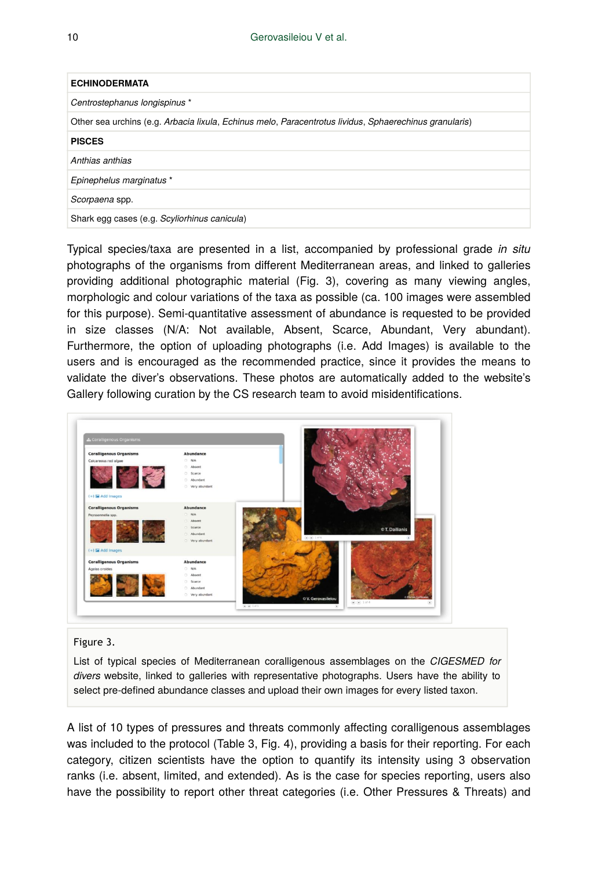| <b>ECHINODERMATA</b>                                                                                   |
|--------------------------------------------------------------------------------------------------------|
| Centrostephanus longispinus *                                                                          |
| Other sea urchins (e.g. Arbacia lixula, Echinus melo, Paracentrotus lividus, Sphaerechinus granularis) |
| <b>PISCES</b>                                                                                          |
| Anthias anthias                                                                                        |
| Epinephelus marginatus *                                                                               |
| Scorpaena spp.                                                                                         |
| Shark egg cases (e.g. Scyliorhinus canicula)                                                           |

Typical species/taxa are presented in a list, accompanied by professional grade *in situ* photographs of the organisms from different Mediterranean areas, and linked to galleries providing additional photographic material (Fig. 3), covering as many viewing angles, morphologic and colour variations of the taxa as possible (ca. 100 images were assembled for this purpose). Semi-quantitative assessment of abundance is requested to be provided in size classes (N/A: Not available, Absent, Scarce, Abundant, Very abundant). Furthermore, the option of uploading photographs (i.e. Add Images) is available to the users and is encouraged as the recommended practice, since it provides the means to validate the diver's observations. These photos are automatically added to the website's Gallery following curation by the CS research team to avoid misidentifications.

| <b>Coralligenous Organisms</b> | Abundance        |                                                   |
|--------------------------------|------------------|---------------------------------------------------|
| Calcareous red algae           | $O$ N/A          |                                                   |
|                                | C Absent         |                                                   |
|                                | C Scarce         |                                                   |
|                                | C Abundant       |                                                   |
|                                | Very abundant    |                                                   |
| (+) Tel Add Images             |                  |                                                   |
| <b>Coralligenous Organisms</b> | <b>Abundance</b> |                                                   |
| Peyssonnella spp.              | O N/A            |                                                   |
|                                | Absent           |                                                   |
|                                | Scarce           | © T. Dailianis                                    |
|                                | Abundant         |                                                   |
|                                | Very abundant    | $\left(\bullet\right)\left(\bullet\right)$ 1 of 6 |
| (+) La Add Images              |                  |                                                   |
|                                |                  |                                                   |
| <b>Coralligenous Organisms</b> | Abundance        |                                                   |
| Agelas oroides                 | $O$ N/A          |                                                   |
|                                | C Absent         |                                                   |
|                                | C Scarce         |                                                   |
|                                | C Abundant       |                                                   |

#### Figure 3.

List of typical species of Mediterranean coralligenous assemblages on the *CIGESMED for divers* website, linked to galleries with representative photographs. Users have the ability to select pre-defined abundance classes and upload their own images for every listed taxon.

A list of 10 types of pressures and threats commonly affecting coralligenous assemblages was included to the protocol (Table 3, Fig. 4), providing a basis for their reporting. For each category, citizen scientists have the option to quantify its intensity using 3 observation ranks (i.e. absent, limited, and extended). As is the case for species reporting, users also have the possibility to report other threat categories (i.e. Other Pressures & Threats) and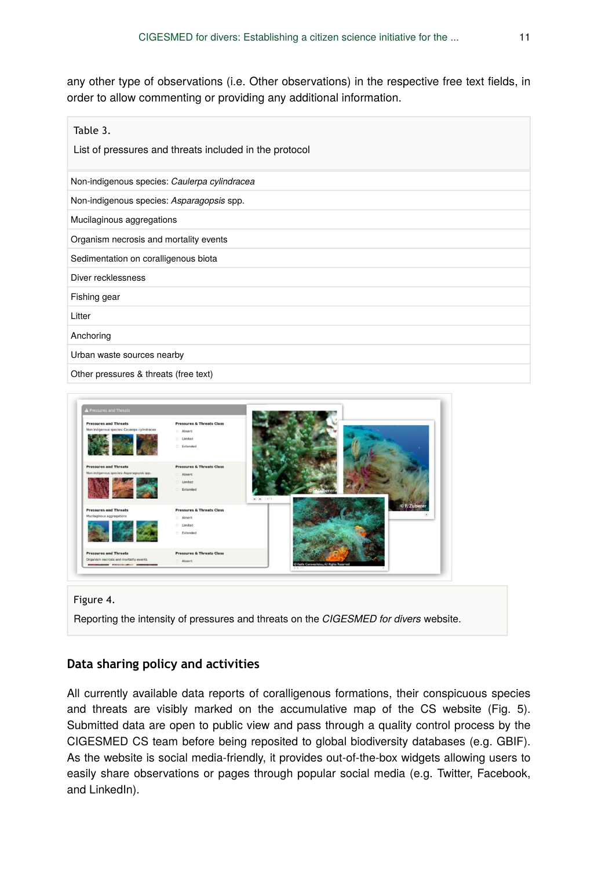any other type of observations (i.e. Other observations) in the respective free text fields, in order to allow commenting or providing any additional information.

| Table 3.<br>List of pressures and threats included in the protocol |
|--------------------------------------------------------------------|
| Non-indigenous species: Caulerpa cylindracea                       |
| Non-indigenous species: Asparagopsis spp.                          |
| Mucilaginous aggregations                                          |
| Organism necrosis and mortality events                             |
| Sedimentation on coralligenous biota                               |
| Diver recklessness                                                 |
| Fishing gear                                                       |
| Litter                                                             |
| Anchoring                                                          |
| Urban waste sources nearby                                         |
| Other pressures & threats (free text)                              |



Figure 4.

Reporting the intensity of pressures and threats on the *CIGESMED for divers* website.

## **Data sharing policy and activities**

All currently available data reports of coralligenous formations, their conspicuous species and threats are visibly marked on the accumulative map of the CS website (Fig. 5). Submitted data are open to public view and pass through a quality control process by the CIGESMED CS team before being reposited to global biodiversity databases (e.g. GBIF). As the website is social media-friendly, it provides out-of-the-box widgets allowing users to easily share observations or pages through popular social media (e.g. Twitter, Facebook, and LinkedIn).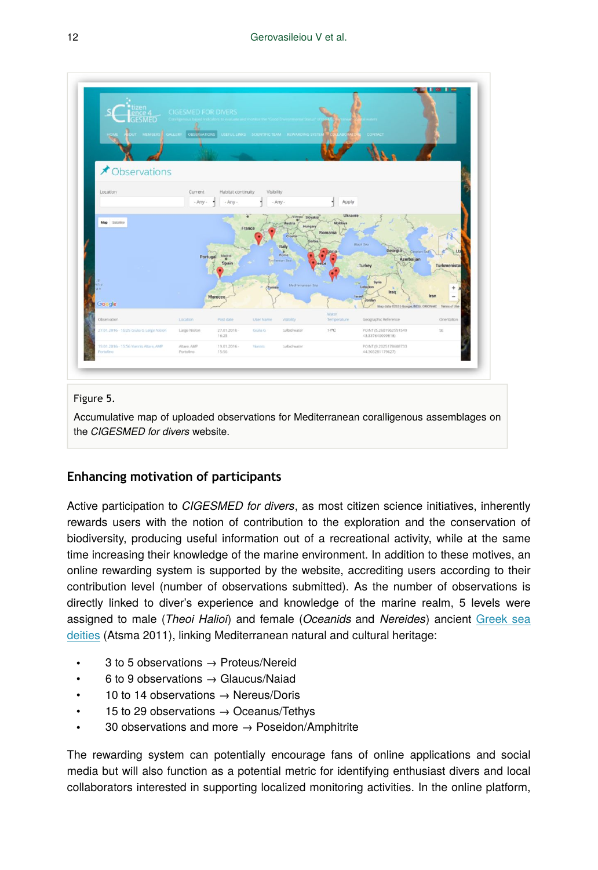

#### Figure 5.

Accumulative map of uploaded observations for Mediterranean coralligenous assemblages on the *CIGESMED for divers* website.

# **Enhancing motivation of participants**

Active participation to *CIGESMED for divers*, as most citizen science initiatives, inherently rewards users with the notion of contribution to the exploration and the conservation of biodiversity, producing useful information out of a recreational activity, while at the same time increasing their knowledge of the marine environment. In addition to these motives, an online rewarding system is supported by the website, accrediting users according to their contribution level (number of observations submitted). As the number of observations is directly linked to diver's experience and knowledge of the marine realm, 5 levels were assigned to male (*Theoi Halioi*) and female (*Oceanids* and *Nereides*) ancient [Greek sea](https://en.wikipedia.org/wiki/Greek_sea_gods) [deities](https://en.wikipedia.org/wiki/Greek_sea_gods) (Atsma 2011), linking Mediterranean natural and cultural heritage:

- 3 to 5 observations  $\rightarrow$  Proteus/Nereid
- 6 to 9 observations → Glaucus/Naiad
- 10 to 14 observations → Nereus/Doris
- 15 to 29 observations  $\rightarrow$  Oceanus/Tethys
- 30 observations and more  $\rightarrow$  Poseidon/Amphitrite

The rewarding system can potentially encourage fans of online applications and social media but will also function as a potential metric for identifying enthusiast divers and local collaborators interested in supporting localized monitoring activities. In the online platform,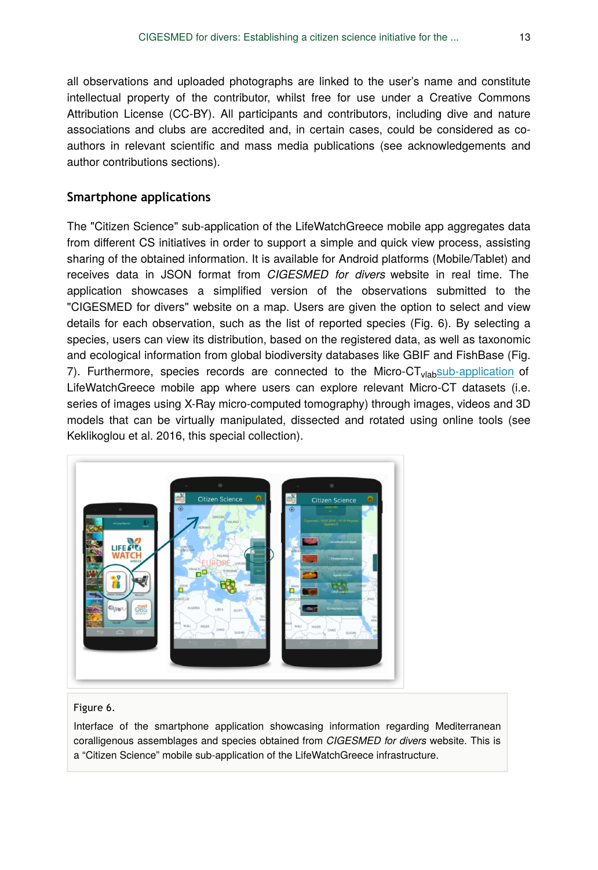all observations and uploaded photographs are linked to the user's name and constitute intellectual property of the contributor, whilst free for use under a Creative Commons Attribution License (CC-BY). All participants and contributors, including dive and nature associations and clubs are accredited and, in certain cases, could be considered as coauthors in relevant scientific and mass media publications (see acknowledgements and author contributions sections).

#### **Smartphone applications**

The "Citizen Science" sub-application of the LifeWatchGreece mobile app aggregates data from different CS initiatives in order to support a simple and quick view process, assisting sharing of the obtained information. It is available for Android platforms (Mobile/Tablet) and receives data in JSON format from *CIGESMED for divers* website in real time. The application showcases a simplified version of the observations submitted to the "CIGESMED for divers" website on a map. Users are given the option to select and view details for each observation, such as the list of reported species (Fig. 6). By selecting a species, users can view its distribution, based on the registered data, as well as taxonomic and ecological information from global biodiversity databases like GBIF and FishBase (Fig. 7). Furthermore, species records are connected to the Micro-CT<sub>vlab</sub>[sub-application](http://microct.portal.lifewatchgreece.eu/) of LifeWatchGreece mobile app where users can explore relevant Micro-CT datasets (i.e. series of images using X-Ray micro-computed tomography) through images, videos and 3D models that can be virtually manipulated, dissected and rotated using online tools (see Keklikoglou et al. 2016, this special collection).



#### Figure 6.

Interface of the smartphone application showcasing information regarding Mediterranean coralligenous assemblages and species obtained from *CIGESMED for divers* website. This is a "Citizen Science" mobile sub-application of the LifeWatchGreece infrastructure.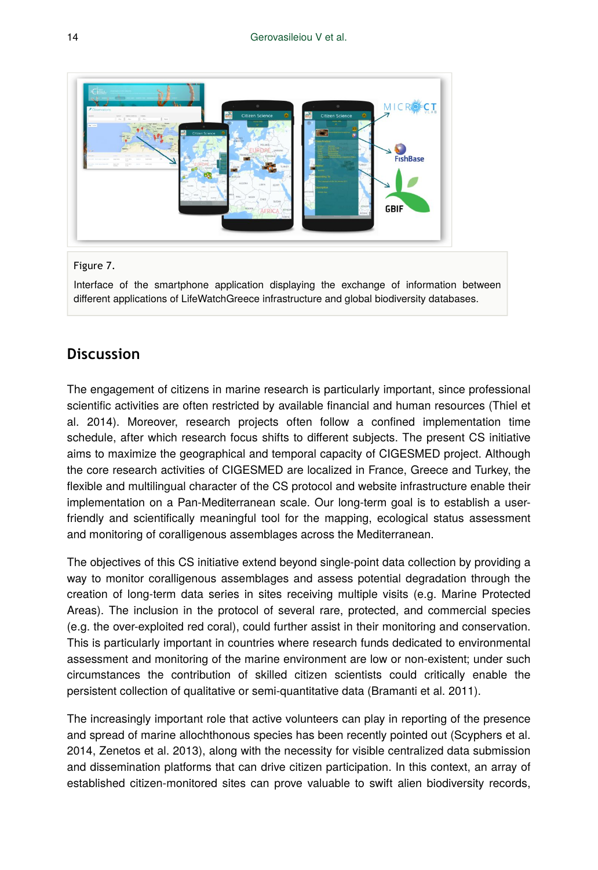

#### Figure 7.

Interface of the smartphone application displaying the exchange of information between different applications of LifeWatchGreece infrastructure and global biodiversity databases.

# **Discussion**

The engagement of citizens in marine research is particularly important, since professional scientific activities are often restricted by available financial and human resources (Thiel et al. 2014). Moreover, research projects often follow a confined implementation time schedule, after which research focus shifts to different subjects. The present CS initiative aims to maximize the geographical and temporal capacity of CIGESMED project. Although the core research activities of CIGESMED are localized in France, Greece and Turkey, the flexible and multilingual character of the CS protocol and website infrastructure enable their implementation on a Pan-Mediterranean scale. Our long-term goal is to establish a userfriendly and scientifically meaningful tool for the mapping, ecological status assessment and monitoring of coralligenous assemblages across the Mediterranean.

The objectives of this CS initiative extend beyond single-point data collection by providing a way to monitor coralligenous assemblages and assess potential degradation through the creation of long-term data series in sites receiving multiple visits (e.g. Marine Protected Areas). The inclusion in the protocol of several rare, protected, and commercial species (e.g. the over-exploited red coral), could further assist in their monitoring and conservation. This is particularly important in countries where research funds dedicated to environmental assessment and monitoring of the marine environment are low or non-existent; under such circumstances the contribution of skilled citizen scientists could critically enable the persistent collection of qualitative or semi-quantitative data (Bramanti et al. 2011).

The increasingly important role that active volunteers can play in reporting of the presence and spread of marine allochthonous species has been recently pointed out (Scyphers et al. 2014, Zenetos et al. 2013), along with the necessity for visible centralized data submission and dissemination platforms that can drive citizen participation. In this context, an array of established citizen-monitored sites can prove valuable to swift alien biodiversity records,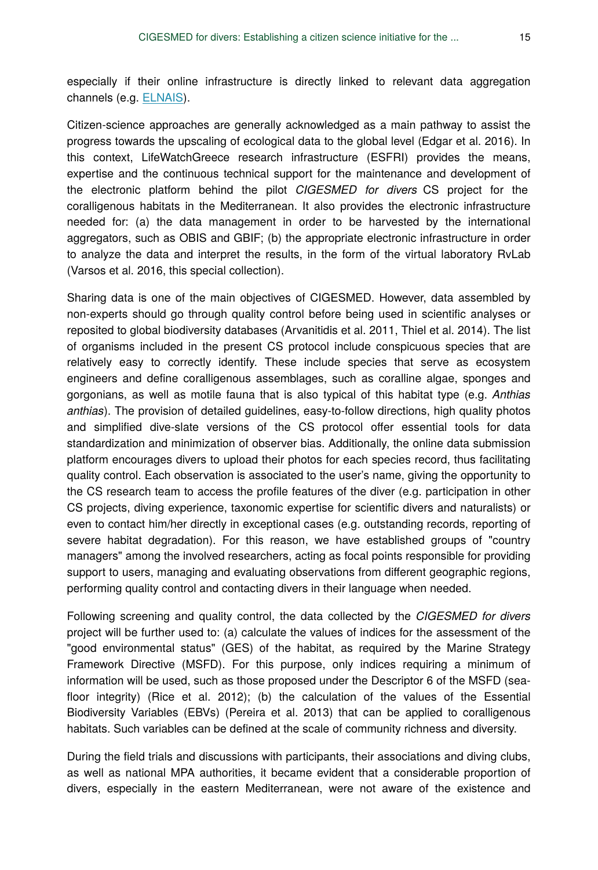especially if their online infrastructure is directly linked to relevant data aggregation channels (e.g. [ELNAIS](http://elnais.hcmr.gr/)).

Citizen-science approaches are generally acknowledged as a main pathway to assist the progress towards the upscaling of ecological data to the global level (Edgar et al. 2016). In this context, LifeWatchGreece research infrastructure (ESFRI) provides the means, expertise and the continuous technical support for the maintenance and development of the electronic platform behind the pilot *CIGESMED for divers* CS project for the coralligenous habitats in the Mediterranean. It also provides the electronic infrastructure needed for: (a) the data management in order to be harvested by the international aggregators, such as OBIS and GBIF; (b) the appropriate electronic infrastructure in order to analyze the data and interpret the results, in the form of the virtual laboratory RvLab (Varsos et al. 2016, this special collection).

Sharing data is one of the main objectives of CIGESMED. However, data assembled by non-experts should go through quality control before being used in scientific analyses or reposited to global biodiversity databases (Arvanitidis et al. 2011, Thiel et al. 2014). The list of organisms included in the present CS protocol include conspicuous species that are relatively easy to correctly identify. These include species that serve as ecosystem engineers and define coralligenous assemblages, such as coralline algae, sponges and gorgonians, as well as motile fauna that is also typical of this habitat type (e.g. *Anthias anthias*). The provision of detailed guidelines, easy-to-follow directions, high quality photos and simplified dive-slate versions of the CS protocol offer essential tools for data standardization and minimization of observer bias. Additionally, the online data submission platform encourages divers to upload their photos for each species record, thus facilitating quality control. Each observation is associated to the user's name, giving the opportunity to the CS research team to access the profile features of the diver (e.g. participation in other CS projects, diving experience, taxonomic expertise for scientific divers and naturalists) or even to contact him/her directly in exceptional cases (e.g. outstanding records, reporting of severe habitat degradation). For this reason, we have established groups of "country managers" among the involved researchers, acting as focal points responsible for providing support to users, managing and evaluating observations from different geographic regions, performing quality control and contacting divers in their language when needed.

Following screening and quality control, the data collected by the *CIGESMED for divers* project will be further used to: (a) calculate the values of indices for the assessment of the "good environmental status" (GES) of the habitat, as required by the Marine Strategy Framework Directive (MSFD). For this purpose, only indices requiring a minimum of information will be used, such as those proposed under the Descriptor 6 of the MSFD (seafloor integrity) (Rice et al. 2012); (b) the calculation of the values of the Essential Biodiversity Variables (EBVs) (Pereira et al. 2013) that can be applied to coralligenous habitats. Such variables can be defined at the scale of community richness and diversity.

During the field trials and discussions with participants, their associations and diving clubs, as well as national MPA authorities, it became evident that a considerable proportion of divers, especially in the eastern Mediterranean, were not aware of the existence and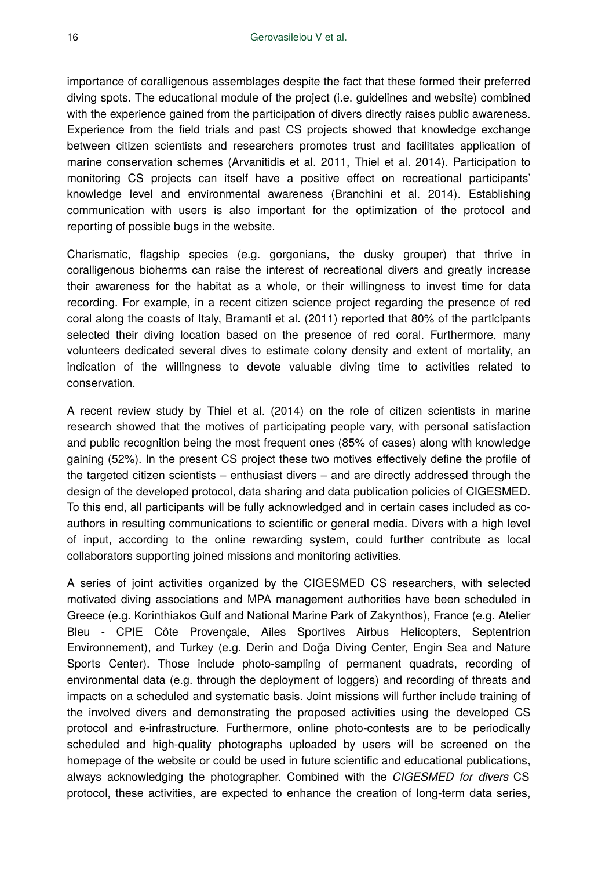importance of coralligenous assemblages despite the fact that these formed their preferred diving spots. The educational module of the project (i.e. guidelines and website) combined with the experience gained from the participation of divers directly raises public awareness. Experience from the field trials and past CS projects showed that knowledge exchange between citizen scientists and researchers promotes trust and facilitates application of marine conservation schemes (Arvanitidis et al. 2011, Thiel et al. 2014). Participation to monitoring CS projects can itself have a positive effect on recreational participants' knowledge level and environmental awareness (Branchini et al. 2014). Establishing communication with users is also important for the optimization of the protocol and reporting of possible bugs in the website.

Charismatic, flagship species (e.g. gorgonians, the dusky grouper) that thrive in coralligenous bioherms can raise the interest of recreational divers and greatly increase their awareness for the habitat as a whole, or their willingness to invest time for data recording. For example, in a recent citizen science project regarding the presence of red coral along the coasts of Italy, Bramanti et al. (2011) reported that 80% of the participants selected their diving location based on the presence of red coral. Furthermore, many volunteers dedicated several dives to estimate colony density and extent of mortality, an indication of the willingness to devote valuable diving time to activities related to conservation.

A recent review study by Thiel et al. (2014) on the role of citizen scientists in marine research showed that the motives of participating people vary, with personal satisfaction and public recognition being the most frequent ones (85% of cases) along with knowledge gaining (52%). In the present CS project these two motives effectively define the profile of the targeted citizen scientists – enthusiast divers – and are directly addressed through the design of the developed protocol, data sharing and data publication policies of CIGESMED. To this end, all participants will be fully acknowledged and in certain cases included as coauthors in resulting communications to scientific or general media. Divers with a high level of input, according to the online rewarding system, could further contribute as local collaborators supporting joined missions and monitoring activities.

A series of joint activities organized by the CIGESMED CS researchers, with selected motivated diving associations and MPA management authorities have been scheduled in Greece (e.g. Korinthiakos Gulf and National Marine Park of Zakynthos), France (e.g. Atelier Bleu - CPIE Côte Provençale, Ailes Sportives Airbus Helicopters, Septentrion Environnement), and Turkey (e.g. Derin and Doğa Diving Center, Engin Sea and Nature Sports Center). Those include photo-sampling of permanent quadrats, recording of environmental data (e.g. through the deployment of loggers) and recording of threats and impacts on a scheduled and systematic basis. Joint missions will further include training of the involved divers and demonstrating the proposed activities using the developed CS protocol and e-infrastructure. Furthermore, online photo-contests are to be periodically scheduled and high-quality photographs uploaded by users will be screened on the homepage of the website or could be used in future scientific and educational publications, always acknowledging the photographer. Combined with the *CIGESMED for divers* CS protocol, these activities, are expected to enhance the creation of long-term data series,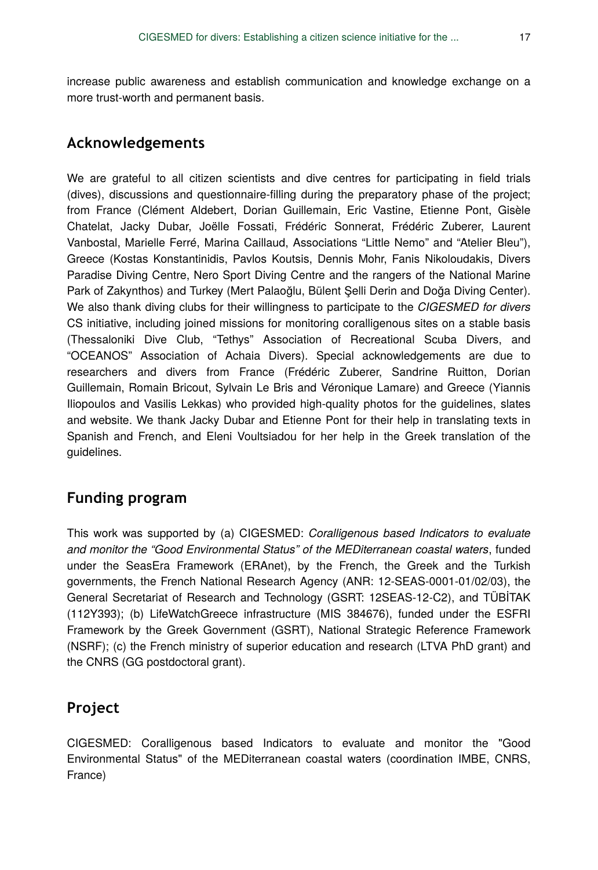increase public awareness and establish communication and knowledge exchange on a more trust-worth and permanent basis.

# **Acknowledgements**

We are grateful to all citizen scientists and dive centres for participating in field trials (dives), discussions and questionnaire-filling during the preparatory phase of the project; from France (Clément Aldebert, Dorian Guillemain, Eric Vastine, Etienne Pont, Gisèle Chatelat, Jacky Dubar, Joëlle Fossati, Frédéric Sonnerat, Frédéric Zuberer, Laurent Vanbostal, Marielle Ferré, Marina Caillaud, Associations "Little Nemo" and "Atelier Bleu"), Greece (Kostas Konstantinidis, Pavlos Koutsis, Dennis Mohr, Fanis Nikoloudakis, Divers Paradise Diving Centre, Nero Sport Diving Centre and the rangers of the National Marine Park of Zakynthos) and Turkey (Mert Palaoğlu, Bülent Şelli Derin and Doğa Diving Center). We also thank diving clubs for their willingness to participate to the *CIGESMED for divers* CS initiative, including joined missions for monitoring coralligenous sites on a stable basis (Thessaloniki Dive Club, "Tethys" Association of Recreational Scuba Divers, and "OCEANOS" Association of Achaia Divers). Special acknowledgements are due to researchers and divers from France (Frédéric Zuberer, Sandrine Ruitton, Dorian Guillemain, Romain Bricout, Sylvain Le Bris and Véronique Lamare) and Greece (Yiannis Iliopoulos and Vasilis Lekkas) who provided high-quality photos for the guidelines, slates and website. We thank Jacky Dubar and Etienne Pont for their help in translating texts in Spanish and French, and Eleni Voultsiadou for her help in the Greek translation of the guidelines.

# **Funding program**

This work was supported by (a) CIGESMED: *Coralligenous based Indicators to evaluate and monitor the "Good Environmental Status" of the MEDiterranean coastal waters*, funded under the SeasEra Framework (ERAnet), by the French, the Greek and the Turkish governments, the French National Research Agency (ANR: 12-SEAS-0001-01/02/03), the General Secretariat of Research and Technology (GSRT: 12SEAS-12-C2), and TÜBİTAK (112Y393); (b) LifeWatchGreece infrastructure (MIS 384676), funded under the ESFRI Framework by the Greek Government (GSRT), National Strategic Reference Framework (NSRF); (c) the French ministry of superior education and research (LTVA PhD grant) and the CNRS (GG postdoctoral grant).

# **Project**

CIGESMED: Coralligenous based Indicators to evaluate and monitor the "Good Environmental Status" of the MEDiterranean coastal waters (coordination IMBE, CNRS, France)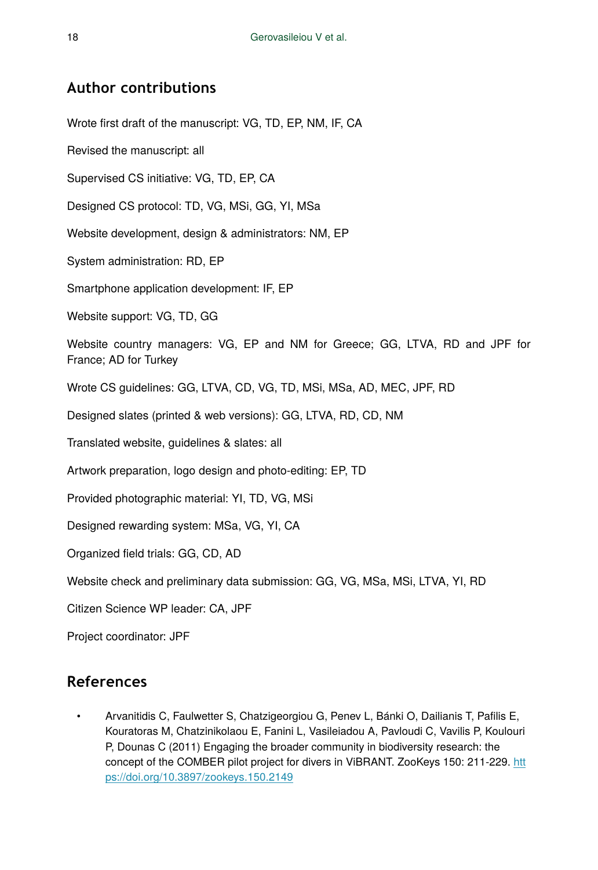# **Author contributions**

Wrote first draft of the manuscript: VG, TD, EP, NM, IF, CA

Revised the manuscript: all

Supervised CS initiative: VG, TD, EP, CA

Designed CS protocol: TD, VG, MSi, GG, YI, MSa

Website development, design & administrators: NM, EP

System administration: RD, EP

Smartphone application development: IF, EP

Website support: VG, TD, GG

Website country managers: VG, EP and NM for Greece; GG, LTVA, RD and JPF for France; AD for Turkey

Wrote CS guidelines: GG, LTVA, CD, VG, TD, MSi, MSa, AD, MEC, JPF, RD

Designed slates (printed & web versions): GG, LTVA, RD, CD, NM

Translated website, guidelines & slates: all

Artwork preparation, logo design and photo-editing: EP, TD

Provided photographic material: YI, TD, VG, MSi

Designed rewarding system: MSa, VG, YI, CA

Organized field trials: GG, CD, AD

Website check and preliminary data submission: GG, VG, MSa, MSi, LTVA, YI, RD

Citizen Science WP leader: CA, JPF

Project coordinator: JPF

# **References**

• Arvanitidis C, Faulwetter S, Chatzigeorgiou G, Penev L, Bánki O, Dailianis T, Pafilis E, Kouratoras M, Chatzinikolaou E, Fanini L, Vasileiadou A, Pavloudi C, Vavilis P, Koulouri P, Dounas C (2011) Engaging the broader community in biodiversity research: the concept of the COMBER pilot project for divers in ViBRANT. ZooKeys 150: 211‑229. [htt](https://doi.org/10.3897/zookeys.150.2149) [ps://doi.org/10.3897/zookeys.150.2149](https://doi.org/10.3897/zookeys.150.2149)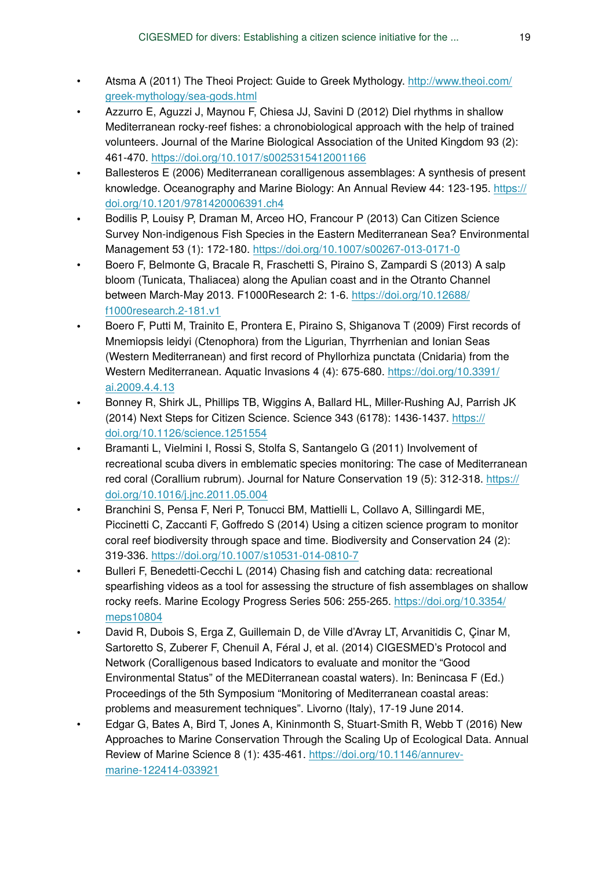- Atsma A (2011) The Theoi Project: Guide to Greek Mythology. [http://www.theoi.com/](http://www.theoi.com/greek-mythology/sea-gods.html) [greek-mythology/sea-gods.html](http://www.theoi.com/greek-mythology/sea-gods.html)
- Azzurro E, Aguzzi J, Maynou F, Chiesa JJ, Savini D (2012) Diel rhythms in shallow Mediterranean rocky-reef fishes: a chronobiological approach with the help of trained volunteers. Journal of the Marine Biological Association of the United Kingdom 93 (2): 461‑470. <https://doi.org/10.1017/s0025315412001166>
- Ballesteros E (2006) Mediterranean coralligenous assemblages: A synthesis of present knowledge. Oceanography and Marine Biology: An Annual Review 44: 123-195. [https://](https://doi.org/10.1201/9781420006391.ch4) [doi.org/10.1201/9781420006391.ch4](https://doi.org/10.1201/9781420006391.ch4)
- Bodilis P, Louisy P, Draman M, Arceo HO, Francour P (2013) Can Citizen Science Survey Non-indigenous Fish Species in the Eastern Mediterranean Sea? Environmental Management 53 (1): 172-180. <https://doi.org/10.1007/s00267-013-0171-0>
- Boero F, Belmonte G, Bracale R, Fraschetti S, Piraino S, Zampardi S (2013) A salp bloom (Tunicata, Thaliacea) along the Apulian coast and in the Otranto Channel between March-May 2013. F1000Research 2: 1‑6. [https://doi.org/10.12688/](https://doi.org/10.12688/f1000research.2-181.v1) [f1000research.2-181.v1](https://doi.org/10.12688/f1000research.2-181.v1)
- Boero F, Putti M, Trainito E, Prontera E, Piraino S, Shiganova T (2009) First records of Mnemiopsis leidyi (Ctenophora) from the Ligurian, Thyrrhenian and Ionian Seas (Western Mediterranean) and first record of Phyllorhiza punctata (Cnidaria) from the Western Mediterranean. Aquatic Invasions 4 (4): 675‑680. [https://doi.org/10.3391/](https://doi.org/10.3391/ai.2009.4.4.13) [ai.2009.4.4.13](https://doi.org/10.3391/ai.2009.4.4.13)
- Bonney R, Shirk JL, Phillips TB, Wiggins A, Ballard HL, Miller-Rushing AJ, Parrish JK (2014) Next Steps for Citizen Science. Science 343 (6178): 1436‑1437. [https://](https://doi.org/10.1126/science.1251554) [doi.org/10.1126/science.1251554](https://doi.org/10.1126/science.1251554)
- Bramanti L, Vielmini I, Rossi S, Stolfa S, Santangelo G (2011) Involvement of recreational scuba divers in emblematic species monitoring: The case of Mediterranean red coral (Corallium rubrum). Journal for Nature Conservation 19 (5): 312-318. [https://](https://doi.org/10.1016/j.jnc.2011.05.004) [doi.org/10.1016/j.jnc.2011.05.004](https://doi.org/10.1016/j.jnc.2011.05.004)
- Branchini S, Pensa F, Neri P, Tonucci BM, Mattielli L, Collavo A, Sillingardi ME, Piccinetti C, Zaccanti F, Goffredo S (2014) Using a citizen science program to monitor coral reef biodiversity through space and time. Biodiversity and Conservation 24 (2): 319‑336. <https://doi.org/10.1007/s10531-014-0810-7>
- Bulleri F, Benedetti-Cecchi L (2014) Chasing fish and catching data: recreational spearfishing videos as a tool for assessing the structure of fish assemblages on shallow rocky reefs. Marine Ecology Progress Series 506: 255-265. [https://doi.org/10.3354/](https://doi.org/10.3354/meps10804) [meps10804](https://doi.org/10.3354/meps10804)
- David R, Dubois S, Erga Z, Guillemain D, de Ville d'Avray LT, Arvanitidis C, Çinar M, Sartoretto S, Zuberer F, Chenuil A, Féral J, et al. (2014) CIGESMED's Protocol and Network (Coralligenous based Indicators to evaluate and monitor the "Good Environmental Status" of the MEDiterranean coastal waters). In: Benincasa F (Ed.) Proceedings of the 5th Symposium "Monitoring of Mediterranean coastal areas: problems and measurement techniques". Livorno (Italy), 17-19 June 2014.
- Edgar G, Bates A, Bird T, Jones A, Kininmonth S, Stuart-Smith R, Webb T (2016) New Approaches to Marine Conservation Through the Scaling Up of Ecological Data. Annual Review of Marine Science 8 (1): 435‑461. [https://doi.org/10.1146/annurev](https://doi.org/10.1146/annurev-marine-122414-033921)[marine-122414-033921](https://doi.org/10.1146/annurev-marine-122414-033921)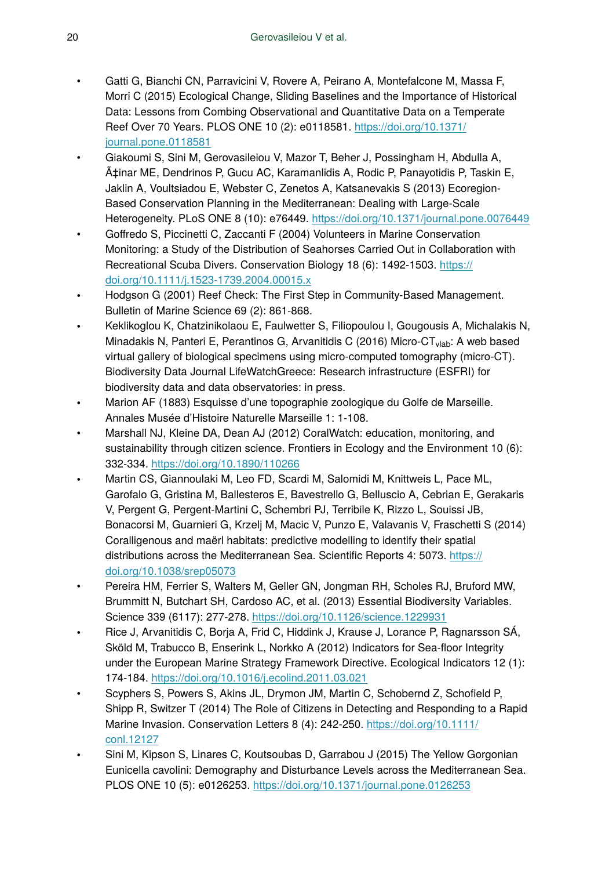- Gatti G, Bianchi CN, Parravicini V, Rovere A, Peirano A, Montefalcone M, Massa F, Morri C (2015) Ecological Change, Sliding Baselines and the Importance of Historical Data: Lessons from Combing Observational and Quantitative Data on a Temperate Reef Over 70 Years. PLOS ONE 10 (2): e0118581. [https://doi.org/10.1371/](https://doi.org/10.1371/journal.pone.0118581) [journal.pone.0118581](https://doi.org/10.1371/journal.pone.0118581)
- Giakoumi S, Sini M, Gerovasileiou V, Mazor T, Beher J, Possingham H, Abdulla A, Çinar ME, Dendrinos P, Gucu AC, Karamanlidis A, Rodic P, Panavotidis P, Taskin E, Jaklin A, Voultsiadou E, Webster C, Zenetos A, Katsanevakis S (2013) Ecoregion-Based Conservation Planning in the Mediterranean: Dealing with Large-Scale Heterogeneity. PLoS ONE 8 (10): e76449.<https://doi.org/10.1371/journal.pone.0076449>
- Goffredo S, Piccinetti C, Zaccanti F (2004) Volunteers in Marine Conservation Monitoring: a Study of the Distribution of Seahorses Carried Out in Collaboration with Recreational Scuba Divers. Conservation Biology 18 (6): 1492-1503. [https://](https://doi.org/10.1111/j.1523-1739.2004.00015.x) [doi.org/10.1111/j.1523-1739.2004.00015.x](https://doi.org/10.1111/j.1523-1739.2004.00015.x)
- Hodgson G (2001) Reef Check: The First Step in Community-Based Management. Bulletin of Marine Science 69 (2): 861-868.
- Keklikoglou K, Chatzinikolaou E, Faulwetter S, Filiopoulou I, Gougousis A, Michalakis N, Minadakis N, Panteri E, Perantinos G, Arvanitidis C (2016) Micro-CT<sub>vlab</sub>: A web based virtual gallery of biological specimens using micro-computed tomography (micro-CT). Biodiversity Data Journal LifeWatchGreece: Research infrastructure (ESFRI) for biodiversity data and data observatories: in press.
- Marion AF (1883) Esquisse d'une topographie zoologique du Golfe de Marseille. Annales Musée d'Histoire Naturelle Marseille 1: 1‑108.
- Marshall NJ, Kleine DA, Dean AJ (2012) CoralWatch: education, monitoring, and sustainability through citizen science. Frontiers in Ecology and the Environment 10 (6): 332‑334. <https://doi.org/10.1890/110266>
- Martin CS, Giannoulaki M, Leo FD, Scardi M, Salomidi M, Knittweis L, Pace ML, Garofalo G, Gristina M, Ballesteros E, Bavestrello G, Belluscio A, Cebrian E, Gerakaris V, Pergent G, Pergent-Martini C, Schembri PJ, Terribile K, Rizzo L, Souissi JB, Bonacorsi M, Guarnieri G, Krzelj M, Macic V, Punzo E, Valavanis V, Fraschetti S (2014) Coralligenous and maërl habitats: predictive modelling to identify their spatial distributions across the Mediterranean Sea. Scientific Reports 4: 5073. [https://](https://doi.org/10.1038/srep05073) [doi.org/10.1038/srep05073](https://doi.org/10.1038/srep05073)
- Pereira HM, Ferrier S, Walters M, Geller GN, Jongman RH, Scholes RJ, Bruford MW, Brummitt N, Butchart SH, Cardoso AC, et al. (2013) Essential Biodiversity Variables. Science 339 (6117): 277‑278. <https://doi.org/10.1126/science.1229931>
- Rice J, Arvanitidis C, Borja A, Frid C, Hiddink J, Krause J, Lorance P, Ragnarsson SÁ, Sköld M, Trabucco B, Enserink L, Norkko A (2012) Indicators for Sea-floor Integrity under the European Marine Strategy Framework Directive. Ecological Indicators 12 (1): 174‑184. <https://doi.org/10.1016/j.ecolind.2011.03.021>
- Scyphers S, Powers S, Akins JL, Drymon JM, Martin C, Schobernd Z, Schofield P, Shipp R, Switzer T (2014) The Role of Citizens in Detecting and Responding to a Rapid Marine Invasion. Conservation Letters 8 (4): 242-250. [https://doi.org/10.1111/](https://doi.org/10.1111/conl.12127) [conl.12127](https://doi.org/10.1111/conl.12127)
- Sini M, Kipson S, Linares C, Koutsoubas D, Garrabou J (2015) The Yellow Gorgonian Eunicella cavolini: Demography and Disturbance Levels across the Mediterranean Sea. PLOS ONE 10 (5): e0126253.<https://doi.org/10.1371/journal.pone.0126253>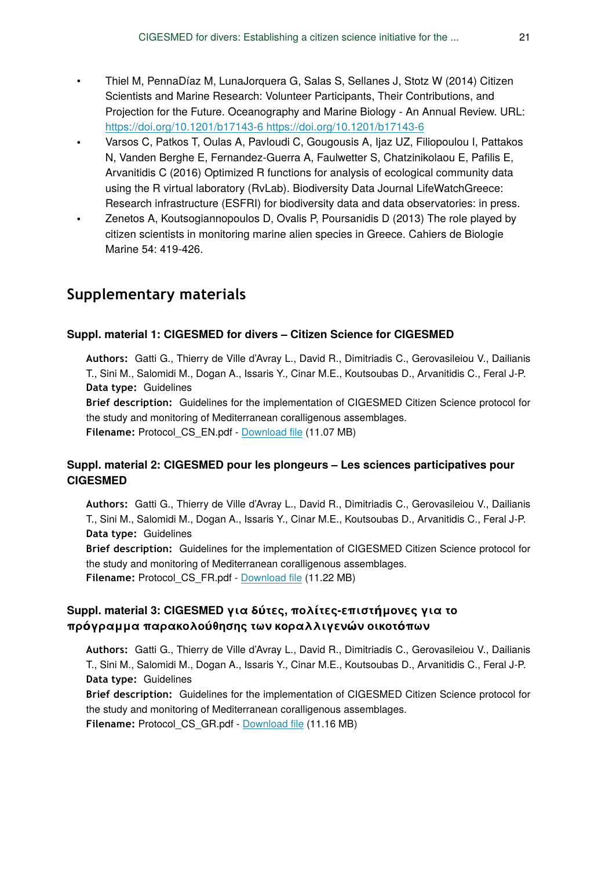- Thiel M, Penna Díaz M, Luna Jorquera G, Salas S, Sellanes J, Stotz W (2014) Citizen Scientists and Marine Research: Volunteer Participants, Their Contributions, and Projection for the Future. Oceanography and Marine Biology - An Annual Review. URL: [https://doi.org/10.1201/b17143-6 https://doi.org/10.1201/b17143-6](https://doi.org/10.1201/b17143-6)
- Varsos C, Patkos T, Oulas A, Pavloudi C, Gougousis A, Ijaz UZ, Filiopoulou I, Pattakos N, Vanden Berghe E, Fernandez-Guerra A, Faulwetter S, Chatzinikolaou E, Pafilis E, Arvanitidis C (2016) Optimized R functions for analysis of ecological community data using the R virtual laboratory (RvLab). Biodiversity Data Journal LifeWatchGreece: Research infrastructure (ESFRI) for biodiversity data and data observatories: in press.
- Zenetos A, Koutsogiannopoulos D, Ovalis P, Poursanidis D (2013) The role played by citizen scientists in monitoring marine alien species in Greece. Cahiers de Biologie Marine 54: 419-426.

# **Supplementary materials**

## **Suppl. material 1: CIGESMED for divers – Citizen Science for CIGESMED**

**Authors:** Gatti G., Thierry de Ville d'Avray L., David R., Dimitriadis C., Gerovasileiou V., Dailianis T., Sini M., Salomidi M., Dogan A., Issaris Y., Cinar M.E., Koutsoubas D., Arvanitidis C., Feral J-P. **Data type:** Guidelines

**Brief description:** Guidelines for the implementation of CIGESMED Citizen Science protocol for the study and monitoring of Mediterranean coralligenous assemblages.

**Filename:** Protocol\_CS\_EN.pdf - [Download](http://arpha.pensoft.net//getfile.php?filename=oo_82405.pdf) file (11.07 MB)

# **Suppl. material 2: CIGESMED pour les plongeurs – Les sciences participatives pour CIGESMED**

**Authors:** Gatti G., Thierry de Ville d'Avray L., David R., Dimitriadis C., Gerovasileiou V., Dailianis T., Sini M., Salomidi M., Dogan A., Issaris Y., Cinar M.E., Koutsoubas D., Arvanitidis C., Feral J-P. **Data type:** Guidelines

**Brief description:** Guidelines for the implementation of CIGESMED Citizen Science protocol for the study and monitoring of Mediterranean coralligenous assemblages. **Filename:** Protocol\_CS\_FR.pdf - [Download](http://arpha.pensoft.net//getfile.php?filename=oo_82406.pdf) file (11.22 MB)

## **Suppl. material 3: CIGESMED για δύτες, πολίτες-επιστήμονες για το πρόγραμμα παρακολούθησης των κοραλλιγενών οικοτόπων**

**Authors:** Gatti G., Thierry de Ville d'Avray L., David R., Dimitriadis C., Gerovasileiou V., Dailianis T., Sini M., Salomidi M., Dogan A., Issaris Y., Cinar M.E., Koutsoubas D., Arvanitidis C., Feral J-P. **Data type:** Guidelines

**Brief description:** Guidelines for the implementation of CIGESMED Citizen Science protocol for the study and monitoring of Mediterranean coralligenous assemblages. **Filename:** Protocol\_CS\_GR.pdf - [Download](http://arpha.pensoft.net//getfile.php?filename=oo_82408.pdf) file (11.16 MB)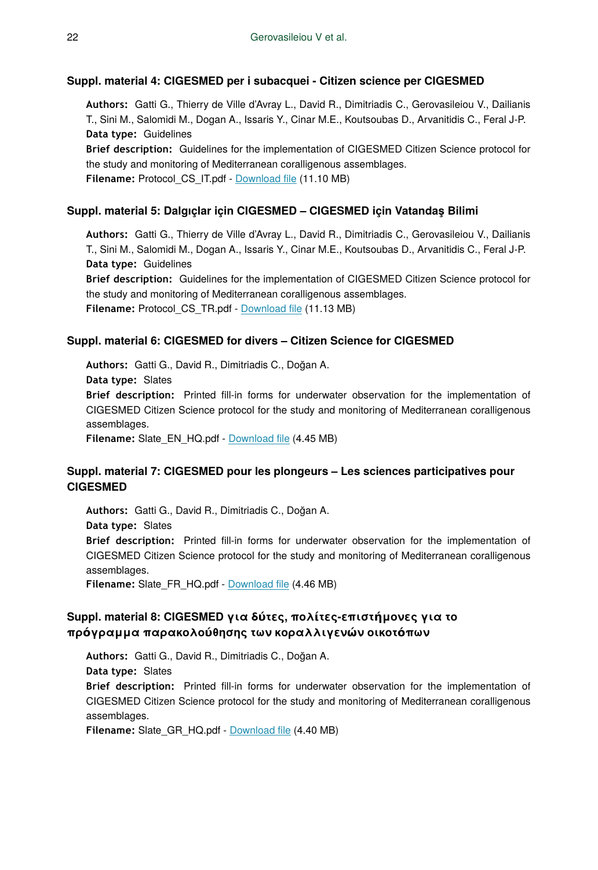#### **Suppl. material 4: CIGESMED per i subacquei - Citizen science per CIGESMED**

**Authors:** Gatti G., Thierry de Ville d'Avray L., David R., Dimitriadis C., Gerovasileiou V., Dailianis T., Sini M., Salomidi M., Dogan A., Issaris Y., Cinar M.E., Koutsoubas D., Arvanitidis C., Feral J-P. **Data type:** Guidelines

**Brief description:** Guidelines for the implementation of CIGESMED Citizen Science protocol for the study and monitoring of Mediterranean coralligenous assemblages. **Filename:** Protocol\_CS\_IT.pdf - [Download](http://arpha.pensoft.net//getfile.php?filename=oo_82410.pdf) file (11.10 MB)

#### **Suppl. material 5: Dalgıçlar için CIGESMED – CIGESMED için Vatandaş Bilimi**

**Authors:** Gatti G., Thierry de Ville d'Avray L., David R., Dimitriadis C., Gerovasileiou V., Dailianis T., Sini M., Salomidi M., Dogan A., Issaris Y., Cinar M.E., Koutsoubas D., Arvanitidis C., Feral J-P. **Data type:** Guidelines

**Brief description:** Guidelines for the implementation of CIGESMED Citizen Science protocol for the study and monitoring of Mediterranean coralligenous assemblages. **Filename:** Protocol\_CS\_TR.pdf - [Download](http://arpha.pensoft.net//getfile.php?filename=oo_82411.pdf) file (11.13 MB)

#### **Suppl. material 6: CIGESMED for divers – Citizen Science for CIGESMED**

**Authors:** Gatti G., David R., Dimitriadis C., Doğan A. **Data type:** Slates **Brief description:** Printed fill-in forms for underwater observation for the implementation of CIGESMED Citizen Science protocol for the study and monitoring of Mediterranean coralligenous assemblages.

**Filename:** Slate\_EN\_HQ.pdf - [Download](http://arpha.pensoft.net//getfile.php?filename=oo_82412.pdf) file (4.45 MB)

#### **Suppl. material 7: CIGESMED pour les plongeurs – Les sciences participatives pour CIGESMED**

**Authors:** Gatti G., David R., Dimitriadis C., Doğan A. **Data type:** Slates **Brief description:** Printed fill-in forms for underwater observation for the implementation of CIGESMED Citizen Science protocol for the study and monitoring of Mediterranean coralligenous assemblages.

**Filename:** Slate\_FR\_HQ.pdf - [Download](http://arpha.pensoft.net//getfile.php?filename=oo_82413.pdf) file (4.46 MB)

#### **Suppl. material 8: CIGESMED για δύτες, πολίτες-επιστήμονες για το πρόγραμμα παρακολούθησης των κοραλλιγενών οικοτόπων**

**Authors:** Gatti G., David R., Dimitriadis C., Doğan A. **Data type:** Slates **Brief description:** Printed fill-in forms for underwater observation for the implementation of CIGESMED Citizen Science protocol for the study and monitoring of Mediterranean coralligenous assemblages.

**Filename:** Slate\_GR\_HQ.pdf - [Download](http://arpha.pensoft.net//getfile.php?filename=oo_82419.pdf) file (4.40 MB)